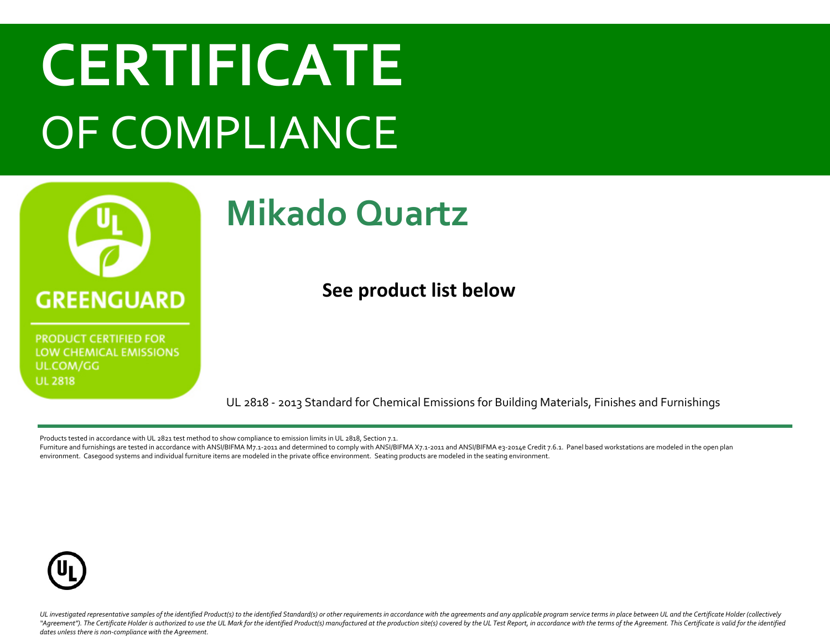## **CERTIFICATE** OF COMPLIANCE



**PRODUCT CERTIFIED FOR** LOW CHEMICAL EMISSIONS UL.COM/GG **UL 2818** 

#### **Mikado Quartz**

**See product list below**

UL 2818 - 2013 Standard for Chemical Emissions for Building Materials, Finishes and Furnishings

Products tested in accordance with UL 2821 test method to show compliance to emission limits in UL 2818, Section 7.1.

Furniture and furnishings are tested in accordance with ANSI/BIFMA M7.1-2011 and determined to comply with ANSI/BIFMA X7.1-2011 and ANSI/BIFMA e3-2014e Credit 7.6.1. Panel based workstations are modeled in the open plan environment. Casegood systems and individual furniture items are modeled in the private office environment. Seating products are modeled in the seating environment.



UL investigated representative samples of the identified Product(s) to the identified Standard(s) or other requirements in accordance with the agreements and any applicable program service terms in place between UL and the "Agreement"). The Certificate Holder is authorized to use the UL Mark for the identified Product(s) manufactured at the production site(s) covered by the UL Test Report, in accordance with the terms of the Agreement. This *dates unless there is non-compliance with the Agreement.*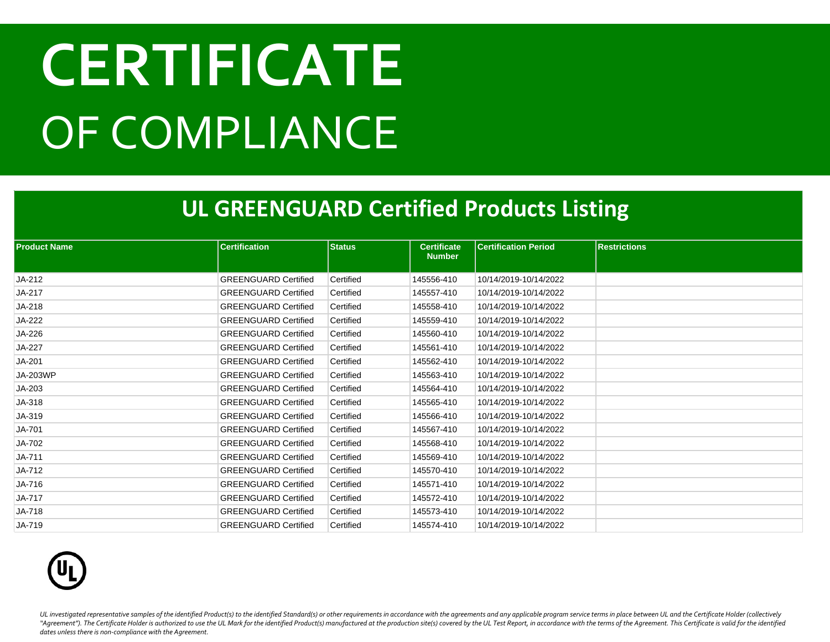# **CERTIFICATE** OF COMPLIANCE

#### **UL GREENGUARD Certified Products Listing**

| <b>Product Name</b> | <b>Certification</b>        | <b>Status</b> | <b>Certificate</b> | <b>Certification Period</b> | <b>Restrictions</b> |
|---------------------|-----------------------------|---------------|--------------------|-----------------------------|---------------------|
|                     |                             |               | <b>Number</b>      |                             |                     |
| JA-212              | <b>GREENGUARD Certified</b> | Certified     | 145556-410         | 10/14/2019-10/14/2022       |                     |
| JA-217              | <b>GREENGUARD Certified</b> | Certified     | 145557-410         | 10/14/2019-10/14/2022       |                     |
| JA-218              | <b>GREENGUARD Certified</b> | Certified     | 145558-410         | 10/14/2019-10/14/2022       |                     |
| JA-222              | <b>GREENGUARD Certified</b> | Certified     | 145559-410         | 10/14/2019-10/14/2022       |                     |
| JA-226              | <b>GREENGUARD Certified</b> | Certified     | 145560-410         | 10/14/2019-10/14/2022       |                     |
| JA-227              | <b>GREENGUARD Certified</b> | Certified     | 145561-410         | 10/14/2019-10/14/2022       |                     |
| JA-201              | <b>GREENGUARD Certified</b> | Certified     | 145562-410         | 10/14/2019-10/14/2022       |                     |
| <b>JA-203WP</b>     | <b>GREENGUARD Certified</b> | Certified     | 145563-410         | 10/14/2019-10/14/2022       |                     |
| JA-203              | <b>GREENGUARD Certified</b> | Certified     | 145564-410         | 10/14/2019-10/14/2022       |                     |
| JA-318              | <b>GREENGUARD Certified</b> | Certified     | 145565-410         | 10/14/2019-10/14/2022       |                     |
| JA-319              | <b>GREENGUARD Certified</b> | Certified     | 145566-410         | 10/14/2019-10/14/2022       |                     |
| JA-701              | <b>GREENGUARD Certified</b> | Certified     | 145567-410         | 10/14/2019-10/14/2022       |                     |
| JA-702              | <b>GREENGUARD Certified</b> | Certified     | 145568-410         | 10/14/2019-10/14/2022       |                     |
| JA-711              | <b>GREENGUARD Certified</b> | Certified     | 145569-410         | 10/14/2019-10/14/2022       |                     |
| JA-712              | <b>GREENGUARD Certified</b> | Certified     | 145570-410         | 10/14/2019-10/14/2022       |                     |
| JA-716              | <b>GREENGUARD Certified</b> | Certified     | 145571-410         | 10/14/2019-10/14/2022       |                     |
| <b>JA-717</b>       | <b>GREENGUARD Certified</b> | Certified     | 145572-410         | 10/14/2019-10/14/2022       |                     |
| JA-718              | <b>GREENGUARD Certified</b> | Certified     | 145573-410         | 10/14/2019-10/14/2022       |                     |
| JA-719              | <b>GREENGUARD Certified</b> | Certified     | 145574-410         | 10/14/2019-10/14/2022       |                     |



UL investigated representative samples of the identified Product(s) to the identified Standard(s) or other requirements in accordance with the agreements and any applicable program service terms in place between UL and the "Agreement"). The Certificate Holder is authorized to use the UL Mark for the identified Product(s) manufactured at the production site(s) covered by the UL Test Report, in accordance with the terms of the Agreement. This *dates unless there is non-compliance with the Agreement.*